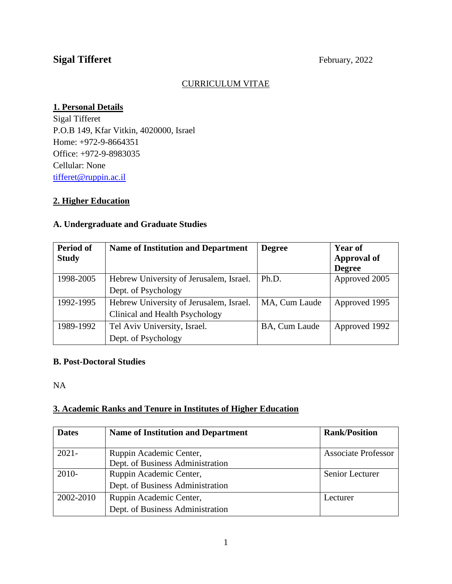# Sigal Tifferet February, 2022

#### CURRICULUM VITAE

#### **1. Personal Details**

Sigal Tifferet P.O.B 149, Kfar Vitkin, 4020000, Israel Home: +972-9-8664351 Office: +972-9-8983035 Cellular: None [tifferet@ruppin.ac.il](mailto:tifferet@ruppin.ac.il)

## **2. Higher Education**

#### **A. Undergraduate and Graduate Studies**

| Period of<br><b>Study</b> | <b>Name of Institution and Department</b>                                 | <b>Degree</b> | <b>Year of</b><br><b>Approval of</b><br><b>Degree</b> |
|---------------------------|---------------------------------------------------------------------------|---------------|-------------------------------------------------------|
| 1998-2005                 | Hebrew University of Jerusalem, Israel.<br>Dept. of Psychology            | Ph.D.         | Approved 2005                                         |
| 1992-1995                 | Hebrew University of Jerusalem, Israel.<br>Clinical and Health Psychology | MA, Cum Laude | Approved 1995                                         |
| 1989-1992                 | Tel Aviv University, Israel.<br>Dept. of Psychology                       | BA, Cum Laude | Approved 1992                                         |

#### **B. Post-Doctoral Studies**

NA

#### **3. Academic Ranks and Tenure in Institutes of Higher Education**

| <b>Dates</b> | <b>Name of Institution and Department</b>                   | <b>Rank/Position</b>       |
|--------------|-------------------------------------------------------------|----------------------------|
| $2021 -$     | Ruppin Academic Center,<br>Dept. of Business Administration | <b>Associate Professor</b> |
| $2010-$      | Ruppin Academic Center,<br>Dept. of Business Administration | Senior Lecturer            |
| 2002-2010    | Ruppin Academic Center,<br>Dept. of Business Administration | Lecturer                   |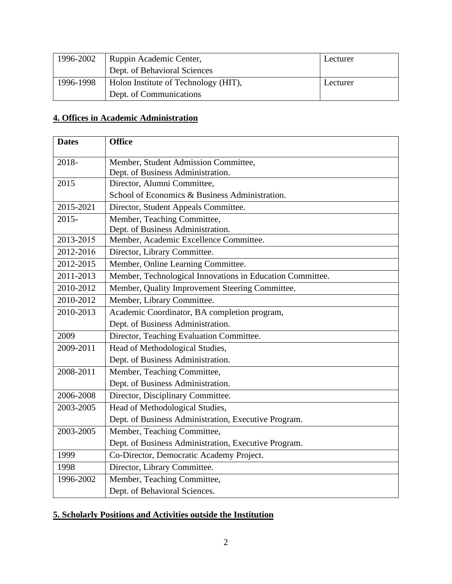| 1996-2002 | Ruppin Academic Center,              | Lecturer |
|-----------|--------------------------------------|----------|
|           | Dept. of Behavioral Sciences         |          |
| 1996-1998 | Holon Institute of Technology (HIT), |          |
|           | Dept. of Communications              |          |

# **4. Offices in Academic Administration**

| <b>Dates</b> | <b>Office</b>                                             |
|--------------|-----------------------------------------------------------|
| 2018-        | Member, Student Admission Committee,                      |
|              | Dept. of Business Administration.                         |
| 2015         | Director, Alumni Committee,                               |
|              | School of Economics & Business Administration.            |
| 2015-2021    | Director, Student Appeals Committee.                      |
| $2015 -$     | Member, Teaching Committee,                               |
|              | Dept. of Business Administration.                         |
| 2013-2015    | Member, Academic Excellence Committee.                    |
| 2012-2016    | Director, Library Committee.                              |
| 2012-2015    | Member, Online Learning Committee.                        |
| 2011-2013    | Member, Technological Innovations in Education Committee. |
| 2010-2012    | Member, Quality Improvement Steering Committee.           |
| 2010-2012    | Member, Library Committee.                                |
| 2010-2013    | Academic Coordinator, BA completion program,              |
|              | Dept. of Business Administration.                         |
| 2009         | Director, Teaching Evaluation Committee.                  |
| 2009-2011    | Head of Methodological Studies,                           |
|              | Dept. of Business Administration.                         |
| 2008-2011    | Member, Teaching Committee,                               |
|              | Dept. of Business Administration.                         |
| 2006-2008    | Director, Disciplinary Committee.                         |
| 2003-2005    | Head of Methodological Studies,                           |
|              | Dept. of Business Administration, Executive Program.      |
| 2003-2005    | Member, Teaching Committee,                               |
|              | Dept. of Business Administration, Executive Program.      |
| 1999         | Co-Director, Democratic Academy Project.                  |
| 1998         | Director, Library Committee.                              |
| 1996-2002    | Member, Teaching Committee,                               |
|              | Dept. of Behavioral Sciences.                             |

# **5. Scholarly Positions and Activities outside the Institution**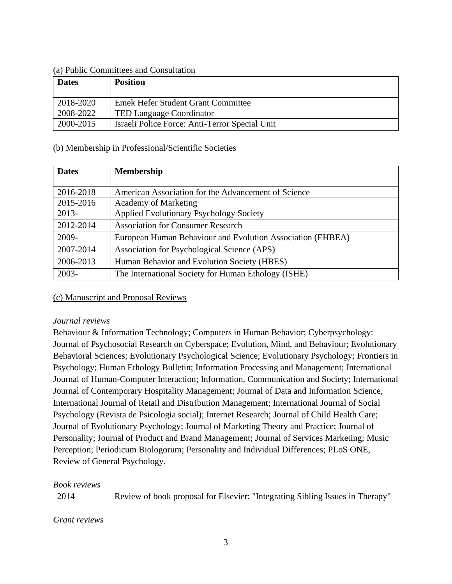#### (a) Public Committees and Consultation

| <b>Dates</b> | <b>Position</b>                                |
|--------------|------------------------------------------------|
| 2018-2020    | <b>Emek Hefer Student Grant Committee</b>      |
| 2008-2022    | <b>TED Language Coordinator</b>                |
| 2000-2015    | Israeli Police Force: Anti-Terror Special Unit |

#### (b) Membership in Professional/Scientific Societies

| <b>Dates</b> | <b>Membership</b>                                          |
|--------------|------------------------------------------------------------|
| 2016-2018    | American Association for the Advancement of Science        |
| 2015-2016    | <b>Academy of Marketing</b>                                |
| $2013-$      | <b>Applied Evolutionary Psychology Society</b>             |
| 2012-2014    | <b>Association for Consumer Research</b>                   |
| 2009-        | European Human Behaviour and Evolution Association (EHBEA) |
| 2007-2014    | Association for Psychological Science (APS)                |
| 2006-2013    | Human Behavior and Evolution Society (HBES)                |
| $2003 -$     | The International Society for Human Ethology (ISHE)        |

#### (c) Manuscript and Proposal Reviews

#### *Journal reviews*

Behaviour & Information Technology; Computers in Human Behavior; Cyberpsychology: Journal of Psychosocial Research on Cyberspace; Evolution, Mind, and Behaviour; Evolutionary Behavioral Sciences; Evolutionary Psychological Science; Evolutionary Psychology; Frontiers in Psychology; Human Ethology Bulletin; Information Processing and Management; International Journal of Human-Computer Interaction; Information, Communication and Society; International Journal of Contemporary Hospitality Management; Journal of Data and Information Science, International Journal of Retail and Distribution Management; International Journal of Social Psychology (Revista de Psicologia social); Internet Research; Journal of Child Health Care; Journal of Evolutionary Psychology; Journal of Marketing Theory and Practice; Journal of Personality; Journal of Product and Brand Management; Journal of Services Marketing; Music Perception; Periodicum Biologorum; Personality and Individual Differences; PLoS ONE, Review of General Psychology.

#### *Book reviews*

2014 Review of book proposal for Elsevier: "Integrating Sibling Issues in Therapy"

#### *Grant reviews*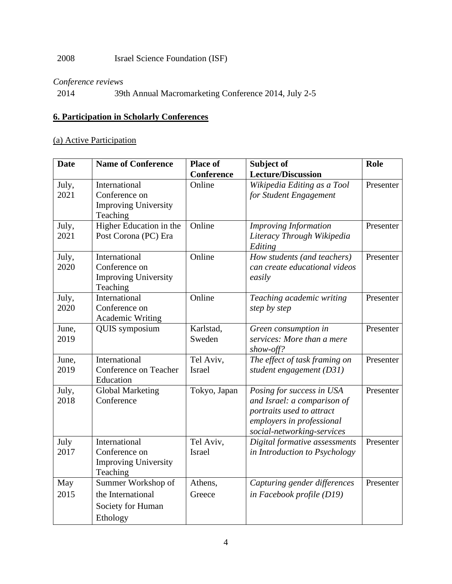# 2008 Israel Science Foundation (ISF)

#### *Conference reviews*

2014 39th Annual Macromarketing Conference 2014, July 2-5

#### **6. Participation in Scholarly Conferences**

## (a) Active Participation

| <b>Date</b>   | <b>Name of Conference</b>   | <b>Place of</b>     | Subject of                                         | Role      |
|---------------|-----------------------------|---------------------|----------------------------------------------------|-----------|
|               |                             | Conference          | <b>Lecture/Discussion</b>                          |           |
| July,         | International               | Online              | Wikipedia Editing as a Tool                        | Presenter |
| 2021          | Conference on               |                     | for Student Engagement                             |           |
|               | <b>Improving University</b> |                     |                                                    |           |
|               | Teaching                    |                     |                                                    |           |
| July,         | Higher Education in the     | Online              | <b>Improving Information</b>                       | Presenter |
| 2021          | Post Corona (PC) Era        |                     | Literacy Through Wikipedia<br>Editing              |           |
| July,         | International               | Online              | How students (and teachers)                        | Presenter |
| 2020          | Conference on               |                     | can create educational videos                      |           |
|               | <b>Improving University</b> |                     | easily                                             |           |
|               | Teaching                    |                     |                                                    |           |
| July,         | International               | Online              | Teaching academic writing                          | Presenter |
| 2020          | Conference on               |                     | step by step                                       |           |
|               | <b>Academic Writing</b>     |                     |                                                    |           |
| June,<br>2019 | <b>QUIS</b> symposium       | Karlstad,<br>Sweden | Green consumption in<br>services: More than a mere | Presenter |
|               |                             |                     | $show-off?$                                        |           |
| June,         | International               | Tel Aviv,           | The effect of task framing on                      | Presenter |
| 2019          | Conference on Teacher       | <b>Israel</b>       | student engagement (D31)                           |           |
|               | Education                   |                     |                                                    |           |
| July,         | <b>Global Marketing</b>     | Tokyo, Japan        | Posing for success in USA                          | Presenter |
| 2018          | Conference                  |                     | and Israel: a comparison of                        |           |
|               |                             |                     | portraits used to attract                          |           |
|               |                             |                     | employers in professional                          |           |
|               |                             |                     | social-networking-services                         |           |
| July          | International               | Tel Aviv,           | Digital formative assessments                      | Presenter |
| 2017          | Conference on               | <b>Israel</b>       | in Introduction to Psychology                      |           |
|               | <b>Improving University</b> |                     |                                                    |           |
|               | Teaching                    |                     |                                                    |           |
| May           | Summer Workshop of          | Athens,             | Capturing gender differences                       | Presenter |
| 2015          | the International           | Greece              | in Facebook profile (D19)                          |           |
|               | Society for Human           |                     |                                                    |           |
|               | Ethology                    |                     |                                                    |           |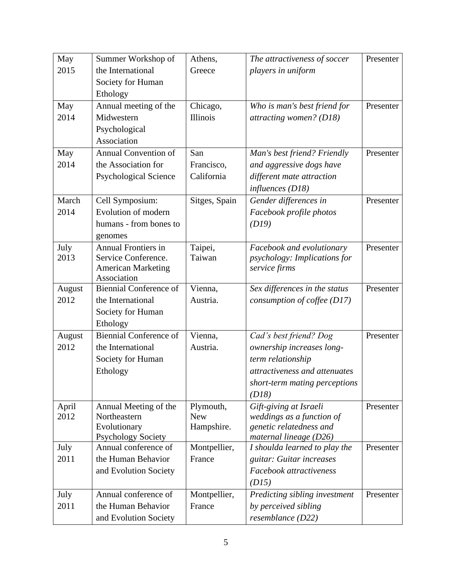| May            | Summer Workshop of                           | Athens,                 | The attractiveness of soccer                        | Presenter |
|----------------|----------------------------------------------|-------------------------|-----------------------------------------------------|-----------|
| 2015           | the International                            | Greece                  | players in uniform                                  |           |
|                | Society for Human                            |                         |                                                     |           |
|                | Ethology                                     |                         |                                                     |           |
| May            | Annual meeting of the                        | Chicago,                | Who is man's best friend for                        | Presenter |
| 2014           | Midwestern                                   | Illinois                | attracting women? (D18)                             |           |
|                | Psychological                                |                         |                                                     |           |
|                | Association                                  |                         |                                                     |           |
| May            | Annual Convention of                         | San                     | Man's best friend? Friendly                         | Presenter |
| 2014           | the Association for                          | Francisco,              | and aggressive dogs have                            |           |
|                | <b>Psychological Science</b>                 | California              | different mate attraction                           |           |
|                |                                              |                         | influences (D18)                                    |           |
| March          | Cell Symposium:                              | Sitges, Spain           | Gender differences in                               | Presenter |
| 2014           | Evolution of modern                          |                         | Facebook profile photos                             |           |
|                | humans - from bones to                       |                         | (D19)                                               |           |
|                | genomes                                      |                         |                                                     |           |
| July           | <b>Annual Frontiers in</b>                   | Taipei,                 | Facebook and evolutionary                           | Presenter |
| 2013           | Service Conference.                          | Taiwan                  | psychology: Implications for                        |           |
|                | <b>American Marketing</b>                    |                         | service firms                                       |           |
|                | Association<br><b>Biennial Conference of</b> |                         |                                                     |           |
| August<br>2012 | the International                            | Vienna,<br>Austria.     | Sex differences in the status                       | Presenter |
|                |                                              |                         | consumption of coffee (D17)                         |           |
|                | Society for Human                            |                         |                                                     |           |
|                | Ethology<br><b>Biennial Conference of</b>    |                         |                                                     |           |
| August<br>2012 |                                              | Vienna,                 | Cad's best friend? Dog                              | Presenter |
|                | the International                            | Austria.                | ownership increases long-                           |           |
|                | Society for Human                            |                         | term relationship                                   |           |
|                | Ethology                                     |                         | attractiveness and attenuates                       |           |
|                |                                              |                         | short-term mating perceptions                       |           |
|                |                                              |                         | (D18)                                               |           |
| April<br>2012  | Annual Meeting of the<br>Northeastern        | Plymouth,<br><b>New</b> | Gift-giving at Israeli<br>weddings as a function of | Presenter |
|                | Evolutionary                                 | Hampshire.              | genetic relatedness and                             |           |
|                | <b>Psychology Society</b>                    |                         | maternal lineage $(D26)$                            |           |
| July           | Annual conference of                         | Montpellier,            | I shoulda learned to play the                       | Presenter |
| 2011           | the Human Behavior                           | France                  | guitar: Guitar increases                            |           |
|                | and Evolution Society                        |                         | Facebook attractiveness                             |           |
|                |                                              |                         | (D15)                                               |           |
| July           | Annual conference of                         | Montpellier,            | Predicting sibling investment                       | Presenter |
| 2011           | the Human Behavior                           | France                  | by perceived sibling                                |           |
|                | and Evolution Society                        |                         | resemblance (D22)                                   |           |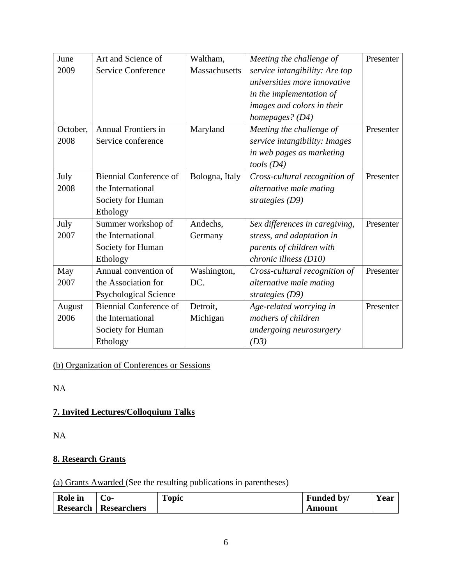| June     | Art and Science of            | Waltham,       | Meeting the challenge of       | Presenter |
|----------|-------------------------------|----------------|--------------------------------|-----------|
| 2009     | <b>Service Conference</b>     | Massachusetts  | service intangibility: Are top |           |
|          |                               |                | universities more innovative   |           |
|          |                               |                | in the implementation of       |           |
|          |                               |                | images and colors in their     |           |
|          |                               |                | homepages? (D4)                |           |
| October, | <b>Annual Frontiers in</b>    | Maryland       | Meeting the challenge of       | Presenter |
| 2008     | Service conference            |                | service intangibility: Images  |           |
|          |                               |                | in web pages as marketing      |           |
|          |                               |                | tools(D4)                      |           |
| July     | <b>Biennial Conference of</b> | Bologna, Italy | Cross-cultural recognition of  | Presenter |
| 2008     | the International             |                | alternative male mating        |           |
|          | Society for Human             |                | strategies $(D9)$              |           |
|          | Ethology                      |                |                                |           |
| July     | Summer workshop of            | Andechs,       | Sex differences in caregiving, | Presenter |
| 2007     | the International             | Germany        | stress, and adaptation in      |           |
|          | Society for Human             |                | parents of children with       |           |
|          | Ethology                      |                | chronic illness (D10)          |           |
| May      | Annual convention of          | Washington,    | Cross-cultural recognition of  | Presenter |
| 2007     | the Association for           | DC.            | alternative male mating        |           |
|          | <b>Psychological Science</b>  |                | strategies (D9)                |           |
| August   | <b>Biennial Conference of</b> | Detroit,       | Age-related worrying in        | Presenter |
| 2006     | the International             | Michigan       | mothers of children            |           |
|          | Society for Human             |                | undergoing neurosurgery        |           |
|          | Ethology                      |                | (D3)                           |           |

(b) Organization of Conferences or Sessions

NA

# **7. Invited Lectures/Colloquium Talks**

NA

# **8. Research Grants**

(a) Grants Awarded (See the resulting publications in parentheses)

| <b>Role</b> in  | -0          | Fopic | Funded by/ | <b>Year</b> |
|-----------------|-------------|-------|------------|-------------|
| <b>Research</b> | Researchers |       | Amount     |             |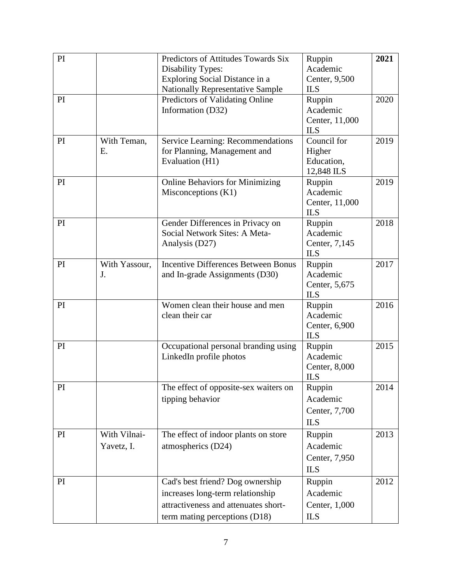| PI |               | Predictors of Attitudes Towards Six        | Ruppin                       | 2021 |
|----|---------------|--------------------------------------------|------------------------------|------|
|    |               | <b>Disability Types:</b>                   | Academic                     |      |
|    |               | Exploring Social Distance in a             | Center, 9,500                |      |
|    |               | <b>Nationally Representative Sample</b>    | <b>ILS</b>                   |      |
| PI |               | Predictors of Validating Online            | Ruppin                       | 2020 |
|    |               | Information (D32)                          | Academic                     |      |
|    |               |                                            | Center, 11,000               |      |
|    |               |                                            | <b>ILS</b>                   |      |
| PI | With Teman,   | Service Learning: Recommendations          | Council for                  | 2019 |
|    | Ε.            | for Planning, Management and               | Higher                       |      |
|    |               | Evaluation (H1)                            | Education,                   |      |
|    |               |                                            | 12,848 ILS                   |      |
| PI |               | <b>Online Behaviors for Minimizing</b>     | Ruppin                       | 2019 |
|    |               | Misconceptions $(K1)$                      | Academic                     |      |
|    |               |                                            | Center, 11,000<br><b>ILS</b> |      |
| PI |               | Gender Differences in Privacy on           | Ruppin                       | 2018 |
|    |               | Social Network Sites: A Meta-              | Academic                     |      |
|    |               | Analysis (D27)                             | Center, 7,145                |      |
|    |               |                                            | <b>ILS</b>                   |      |
| PI | With Yassour, | <b>Incentive Differences Between Bonus</b> | Ruppin                       | 2017 |
|    | J.            | and In-grade Assignments (D30)             | Academic                     |      |
|    |               |                                            | Center, 5,675                |      |
|    |               |                                            | <b>ILS</b>                   |      |
| PI |               | Women clean their house and men            | Ruppin                       | 2016 |
|    |               | clean their car                            | Academic                     |      |
|    |               |                                            | Center, 6,900                |      |
|    |               |                                            | <b>ILS</b>                   |      |
| PI |               | Occupational personal branding using       | Ruppin                       | 2015 |
|    |               | LinkedIn profile photos                    | Academic                     |      |
|    |               |                                            | Center, 8,000                |      |
| PI |               | The effect of opposite-sex waiters on      | <b>ILS</b><br>Ruppin         | 2014 |
|    |               | tipping behavior                           | Academic                     |      |
|    |               |                                            |                              |      |
|    |               |                                            | Center, 7,700                |      |
|    |               |                                            | <b>ILS</b>                   |      |
| PI | With Vilnai-  | The effect of indoor plants on store       | Ruppin                       | 2013 |
|    | Yavetz, I.    | atmospherics (D24)                         | Academic                     |      |
|    |               |                                            | Center, 7,950                |      |
|    |               |                                            | <b>ILS</b>                   |      |
| PI |               | Cad's best friend? Dog ownership           | Ruppin                       | 2012 |
|    |               | increases long-term relationship           | Academic                     |      |
|    |               | attractiveness and attenuates short-       | Center, 1,000                |      |
|    |               | term mating perceptions (D18)              | <b>ILS</b>                   |      |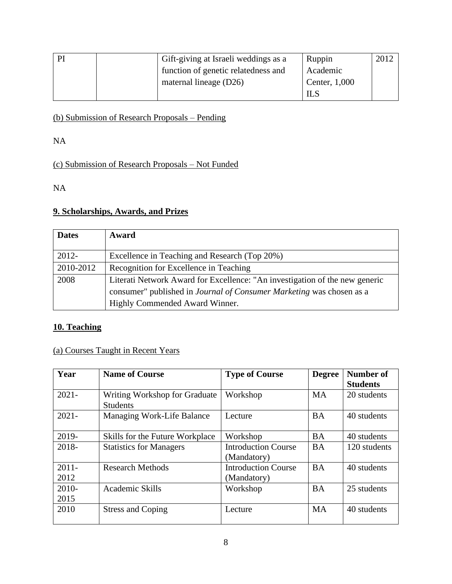| PI | Gift-giving at Israeli weddings as a | Ruppin        | 2012 |
|----|--------------------------------------|---------------|------|
|    | function of genetic relatedness and  | Academic      |      |
|    | maternal lineage $(D26)$             | Center, 1,000 |      |
|    |                                      | ШS            |      |

# (b) Submission of Research Proposals – Pending

NA

# (c) Submission of Research Proposals – Not Funded

NA

#### **9. Scholarships, Awards, and Prizes**

| <b>Dates</b> | Award                                                                       |
|--------------|-----------------------------------------------------------------------------|
| $2012 -$     | Excellence in Teaching and Research (Top 20%)                               |
| 2010-2012    | Recognition for Excellence in Teaching                                      |
| 2008         | Literati Network Award for Excellence: "An investigation of the new generic |
|              | consumer" published in <i>Journal of Consumer Marketing</i> was chosen as a |
|              | Highly Commended Award Winner.                                              |

## **10. Teaching**

# (a) Courses Taught in Recent Years

| Year             | <b>Name of Course</b>                            | <b>Type of Course</b>                     | <b>Degree</b> | Number of<br><b>Students</b> |
|------------------|--------------------------------------------------|-------------------------------------------|---------------|------------------------------|
| $2021 -$         | Writing Workshop for Graduate<br><b>Students</b> | Workshop                                  | <b>MA</b>     | 20 students                  |
| $2021 -$         | Managing Work-Life Balance                       | Lecture                                   | <b>BA</b>     | 40 students                  |
| 2019-            | Skills for the Future Workplace                  | Workshop                                  | <b>BA</b>     | 40 students                  |
| 2018-            | <b>Statistics for Managers</b>                   | <b>Introduction Course</b><br>(Mandatory) | <b>BA</b>     | 120 students                 |
| $2011 -$<br>2012 | <b>Research Methods</b>                          | <b>Introduction Course</b><br>(Mandatory) | <b>BA</b>     | 40 students                  |
| 2010-<br>2015    | Academic Skills                                  | Workshop                                  | <b>BA</b>     | 25 students                  |
| 2010             | <b>Stress and Coping</b>                         | Lecture                                   | <b>MA</b>     | 40 students                  |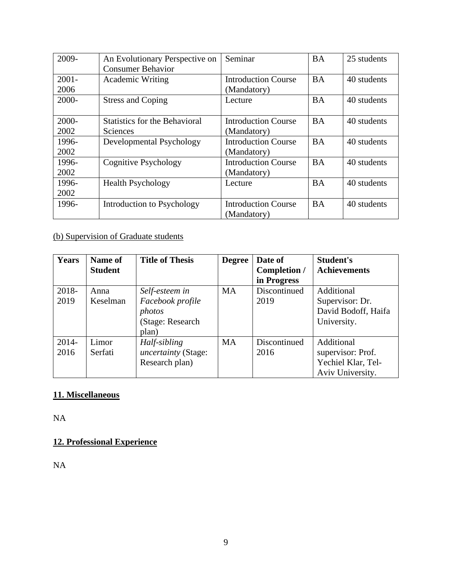| 2009-    | An Evolutionary Perspective on       | Seminar                    | <b>BA</b> | 25 students |
|----------|--------------------------------------|----------------------------|-----------|-------------|
|          | <b>Consumer Behavior</b>             |                            |           |             |
| $2001 -$ | <b>Academic Writing</b>              | <b>Introduction Course</b> | <b>BA</b> | 40 students |
| 2006     |                                      | (Mandatory)                |           |             |
| 2000-    | <b>Stress and Coping</b>             | Lecture                    | <b>BA</b> | 40 students |
|          |                                      |                            |           |             |
| 2000-    | <b>Statistics for the Behavioral</b> | <b>Introduction Course</b> | <b>BA</b> | 40 students |
| 2002     | <b>Sciences</b>                      | (Mandatory)                |           |             |
| 1996-    | Developmental Psychology             | <b>Introduction Course</b> | <b>BA</b> | 40 students |
| 2002     |                                      | (Mandatory)                |           |             |
| 1996-    | Cognitive Psychology                 | <b>Introduction Course</b> | <b>BA</b> | 40 students |
| 2002     |                                      | (Mandatory)                |           |             |
| 1996-    | <b>Health Psychology</b>             | Lecture                    | <b>BA</b> | 40 students |
| 2002     |                                      |                            |           |             |
| 1996-    | Introduction to Psychology           | <b>Introduction Course</b> | <b>BA</b> | 40 students |
|          |                                      | (Mandatory)                |           |             |

# (b) Supervision of Graduate students

| <b>Years</b> | Name of        | <b>Title of Thesis</b> | <b>Degree</b> | Date of             | <b>Student's</b>    |
|--------------|----------------|------------------------|---------------|---------------------|---------------------|
|              | <b>Student</b> |                        |               | <b>Completion</b> / | <b>Achievements</b> |
|              |                |                        |               | in Progress         |                     |
| 2018-        | Anna           | Self-esteem in         | <b>MA</b>     | Discontinued        | Additional          |
| 2019         | Keselman       | Facebook profile       |               | 2019                | Supervisor: Dr.     |
|              |                | photos                 |               |                     | David Bodoff, Haifa |
|              |                | (Stage: Research       |               |                     | University.         |
|              |                | plan)                  |               |                     |                     |
| $2014 -$     | Limor          | Half-sibling           | <b>MA</b>     | Discontinued        | Additional          |
| 2016         | Serfati        | uncertainty (Stage:    |               | 2016                | supervisor: Prof.   |
|              |                | Research plan)         |               |                     | Yechiel Klar, Tel-  |
|              |                |                        |               |                     | Aviv University.    |

## **11. Miscellaneous**

NA

# **12. Professional Experience**

NA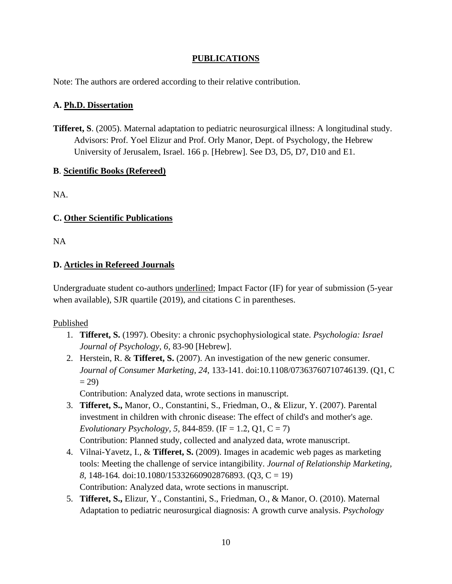#### **PUBLICATIONS**

Note: The authors are ordered according to their relative contribution.

#### **A. Ph.D. Dissertation**

**Tifferet, S**. (2005). Maternal adaptation to pediatric neurosurgical illness: A longitudinal study. Advisors: Prof. Yoel Elizur and Prof. Orly Manor, Dept. of Psychology, the Hebrew University of Jerusalem, Israel. 166 p. [Hebrew]. See D3, D5, D7, D10 and E1.

#### **B**. **Scientific Books (Refereed)**

NA.

## **C. Other Scientific Publications**

NA

## **D. Articles in Refereed Journals**

Undergraduate student co-authors underlined; Impact Factor (IF) for year of submission (5-year when available), SJR quartile (2019), and citations C in parentheses.

## Published

- 1. **Tifferet, S.** (1997). Obesity: a chronic psychophysiological state. *Psychologia: Israel Journal of Psychology, 6,* 83-90 [Hebrew].
- 2. Herstein, R. & **Tifferet, S.** (2007). An investigation of the new generic consumer. *Journal of Consumer Marketing*, *24*, 133-141. doi:10.1108/07363760710746139. (Q1, C  $= 29$ )

Contribution: Analyzed data, wrote sections in manuscript.

- 3. **Tifferet, S.,** Manor, O., Constantini, S., Friedman, O., & Elizur, Y. (2007). Parental investment in children with chronic disease: The effect of child's and mother's age. *Evolutionary Psychology, 5,* 844-859. (IF = 1.2, Q1, C = 7) Contribution: Planned study, collected and analyzed data, wrote manuscript.
- 4. Vilnai-Yavetz, I., & **Tifferet, S.** (2009). Images in academic web pages as marketing tools: Meeting the challenge of service intangibility. *Journal of Relationship Marketing, 8,* 148-164*.* doi:10.1080/15332660902876893. (Q3, C = 19) Contribution: Analyzed data, wrote sections in manuscript.
- 5. **Tifferet, S.,** Elizur, Y., Constantini, S., Friedman, O., & Manor, O. (2010). Maternal Adaptation to pediatric neurosurgical diagnosis: A growth curve analysis. *Psychology*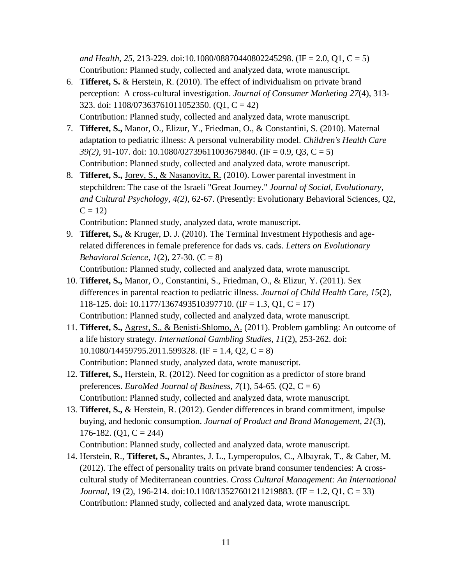*and Health, 25,* 213-229*.* doi:10.1080/08870440802245298. (IF = 2.0, Q1, C = 5) Contribution: Planned study, collected and analyzed data, wrote manuscript.

- 6. **Tifferet, S.** & Herstein, R. (2010). The effect of individualism on private brand perception: A cross-cultural investigation. *Journal of Consumer Marketing 27*(4), 313- 323. doi: 1108/07363761011052350. (Q1, C = 42) Contribution: Planned study, collected and analyzed data, wrote manuscript.
- 7. **Tifferet, S.,** Manor, O., Elizur, Y., Friedman, O., & Constantini, S. (2010). Maternal adaptation to pediatric illness: A personal vulnerability model. *Children's Health Care 39(2),* 91-107. doi: 10.1080/02739611003679840. (IF = 0.9, Q3, C = 5) Contribution: Planned study, collected and analyzed data, wrote manuscript.
- 8. **Tifferet, S.,** Jorev, S., & Nasanovitz, R. (2010). Lower parental investment in stepchildren: The case of the Israeli "Great Journey." *Journal of Social, Evolutionary, and Cultural Psychology, 4(2),* 62-67. (Presently: Evolutionary Behavioral Sciences, Q2,  $C = 12$

Contribution: Planned study, analyzed data, wrote manuscript.

9. **Tifferet, S.,** & Kruger, D. J. (2010). The Terminal Investment Hypothesis and agerelated differences in female preference for dads vs. cads. *Letters on Evolutionary Behavioral Science*, *1*(2), 27-30*.* (C = 8)

Contribution: Planned study, collected and analyzed data, wrote manuscript.

- 10. **Tifferet, S.,** Manor, O., Constantini, S., Friedman, O., & Elizur, Y. (2011). Sex differences in parental reaction to pediatric illness. *Journal of Child Health Care, 15*(2), 118-125. doi: 10.1177/1367493510397710. (IF = 1.3, Q1, C = 17) Contribution: Planned study, collected and analyzed data, wrote manuscript.
- 11. **Tifferet, S.,** Agrest, S., & Benisti-Shlomo, A. (2011). Problem gambling: An outcome of a life history strategy. *International Gambling Studies, 11*(2), 253-262. doi:  $10.1080/14459795.2011.599328.$  (IF = 1.4, Q2, C = 8) Contribution: Planned study, analyzed data, wrote manuscript.
- 12. **Tifferet, S.,** Herstein, R. (2012). Need for cognition as a predictor of store brand preferences. *EuroMed Journal of Business*,  $7(1)$ , 54-65*.*  $(Q2, C = 6)$ Contribution: Planned study, collected and analyzed data, wrote manuscript.
- 13. **Tifferet, S.,** & Herstein, R. (2012). Gender differences in brand commitment, impulse buying, and hedonic consumption. *Journal of Product and Brand Management, 21*(3), 176-182.  $(Q1, C = 244)$

Contribution: Planned study, collected and analyzed data, wrote manuscript.

14. Herstein, R., **Tifferet, S.,** Abrantes, J. L., Lymperopulos, C., Albayrak, T., & Caber, M. (2012). The effect of personality traits on private brand consumer tendencies: A crosscultural study of Mediterranean countries. *Cross Cultural Management: An International Journal*, 19 (2), 196-214. doi:10.1108/13527601211219883. (IF = 1.2, Q1, C = 33) Contribution: Planned study, collected and analyzed data, wrote manuscript.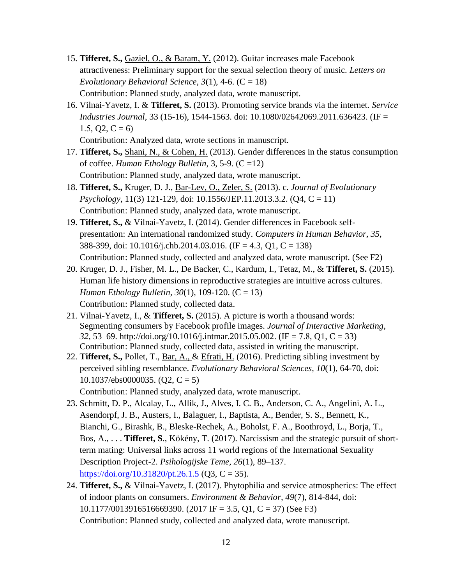- 15. **Tifferet, S.,** Gaziel, O., & Baram, Y. (2012). Guitar increases male Facebook attractiveness: Preliminary support for the sexual selection theory of music. *Letters on Evolutionary Behavioral Science, 3(1), 4-6.*  $(C = 18)$ Contribution: Planned study, analyzed data, wrote manuscript.
- 16. Vilnai-Yavetz, I. & **Tifferet, S.** (2013). Promoting service brands via the internet. *Service Industries Journal*, 33 (15-16), 1544-1563. doi: 10.1080/02642069.2011.636423. (IF = 1.5, Q2, C = 6)

Contribution: Analyzed data, wrote sections in manuscript.

- 17. **Tifferet, S.,** Shani, N., & Cohen, H. (2013). Gender differences in the status consumption of coffee. *Human Ethology Bulletin*, 3, 5-9. (C =12) Contribution: Planned study, analyzed data, wrote manuscript.
- 18. **Tifferet, S.,** Kruger, D. J., Bar-Lev, O., Zeler, S. (2013). c. *Journal of Evolutionary Psychology*, 11(3) 121-129, doi: 10.1556/JEP.11.2013.3.2. (Q4, C = 11) Contribution: Planned study, analyzed data, wrote manuscript.
- 19. **Tifferet, S.,** & Vilnai-Yavetz, I. (2014). Gender differences in Facebook selfpresentation: An international randomized study. *Computers in Human Behavior, 35,*  388-399, doi: 10.1016/j.chb.2014.03.016. (IF = 4.3, Q1, C = 138) Contribution: Planned study, collected and analyzed data, wrote manuscript. (See F2)
- 20. Kruger, D. J., Fisher, M. L., De Backer, C., Kardum, I., Tetaz, M., & **Tifferet, S.** (2015). Human life history dimensions in reproductive strategies are intuitive across cultures. *Human Ethology Bulletin, 30*(1), 109-120. (C = 13) Contribution: Planned study, collected data.
- 21. Vilnai-Yavetz, I., & **Tifferet, S.** (2015). A picture is worth a thousand words: Segmenting consumers by Facebook profile images. *Journal of Interactive Marketing*, *32*, 53–69. http://doi.org/10.1016/j.intmar.2015.05.002. (IF = 7.8, Q1, C = 33) Contribution: Planned study, collected data, assisted in writing the manuscript.
- 22. **Tifferet, S.,** Pollet, T., Bar, A., & Efrati, H. (2016). Predicting sibling investment by perceived sibling resemblance. *Evolutionary Behavioral Sciences, 10*(1), 64-70, doi:  $10.1037$ /ebs0000035. (Q2, C = 5)

Contribution: Planned study, analyzed data, wrote manuscript.

- 23. Schmitt, D. P., Alcalay, L., Allik, J., Alves, I. C. B., Anderson, C. A., Angelini, A. L., Asendorpf, J. B., Austers, I., Balaguer, I., Baptista, A., Bender, S. S., Bennett, K., Bianchi, G., Birashk, B., Bleske-Rechek, A., Boholst, F. A., Boothroyd, L., Borja, T., Bos, A., . . . **Tifferet, S**., Kökény, T. (2017). Narcissism and the strategic pursuit of shortterm mating: Universal links across 11 world regions of the International Sexuality Description Project-2. *Psihologijske Teme, 26*(1), 89–137. <https://doi.org/10.31820/pt.26.1.5> (Q3, C = 35).
- 24. **Tifferet, S.,** & Vilnai-Yavetz, I. (2017). Phytophilia and service atmospherics: The effect of indoor plants on consumers. *Environment & Behavior, 49*(7), 814-844, doi: 10.1177/0013916516669390. (2017 IF = 3.5, Q1, C = 37) (See F3) Contribution: Planned study, collected and analyzed data, wrote manuscript.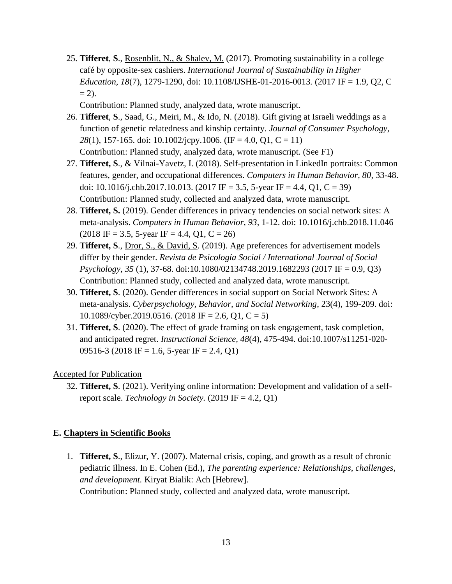25. **Tifferet**, **S**., Rosenblit, N., & Shalev, M. (2017). Promoting sustainability in a college café by opposite-sex cashiers. *International Journal of Sustainability in Higher Education, 18*(7), 1279-1290, doi: 10.1108/IJSHE-01-2016-0013*.* (2017 IF = 1.9, Q2, C  $= 2$ ).

Contribution: Planned study, analyzed data, wrote manuscript.

- 26. **Tifferet**, **S**., Saad, G., Meiri, M., & Ido, N. (2018). Gift giving at Israeli weddings as a function of genetic relatedness and kinship certainty. *Journal of Consumer Psychology, 28*(1), 157-165. doi: 10.1002/jcpy.1006. (IF = 4.0, Q1, C = 11) Contribution: Planned study, analyzed data, wrote manuscript. (See F1)
- 27. **Tifferet, S**., & Vilnai-Yavetz, I. (2018). Self-presentation in LinkedIn portraits: Common features, gender, and occupational differences. *Computers in Human Behavior, 80*, 33-48. doi: [10.1016/j.chb.2017.10.013.](https://doi.org/10.1016/j.chb.2017.10.013) (2017 IF = 3.5, 5-year IF = 4.4, Q1, C = 39) Contribution: Planned study, collected and analyzed data, wrote manuscript.
- 28. **Tifferet, S.** (2019). Gender differences in privacy tendencies on social network sites: A meta-analysis. *Computers in Human Behavior, 93*, 1-12. doi: 10.1016/j.chb.2018.11.046  $(2018 \text{ IF} = 3.5, 5\text{-year IF} = 4.4, Q1, C = 26)$
- 29. **Tifferet, S**., Dror, S., & David, S. (2019). Age preferences for advertisement models differ by their gender. *Revista de Psicología Social / International Journal of Social Psychology, 35* (1), 37-68*.* doi:10.1080/02134748.2019.1682293 (2017 IF = 0.9, Q3) Contribution: Planned study, collected and analyzed data, wrote manuscript.
- 30. **Tifferet, S**. (2020). Gender differences in social support on Social Network Sites: A meta-analysis. *Cyberpsychology, Behavior, and Social Networking*, 23(4), 199-209. doi: 10.1089/cyber.2019.0516. (2018 IF = 2.6, Q1, C = 5)
- 31. **Tifferet, S**. (2020). The effect of grade framing on task engagement, task completion, and anticipated regret. *Instructional Science, 48*(4), 475-494. doi:10.1007/s11251-020- 09516-3 (2018 IF = 1.6, 5-year IF = 2.4, Q1)

#### Accepted for Publication

32. **Tifferet, S**. (2021). Verifying online information: Development and validation of a selfreport scale. *Technology in Society.* (2019 IF = 4.2, Q1)

#### **E. Chapters in Scientific Books**

1. **Tifferet, S**., Elizur, Y. (2007). Maternal crisis, coping, and growth as a result of chronic pediatric illness. In E. Cohen (Ed.), *The parenting experience: Relationships, challenges, and development.* Kiryat Bialik: Ach [Hebrew].

Contribution: Planned study, collected and analyzed data, wrote manuscript.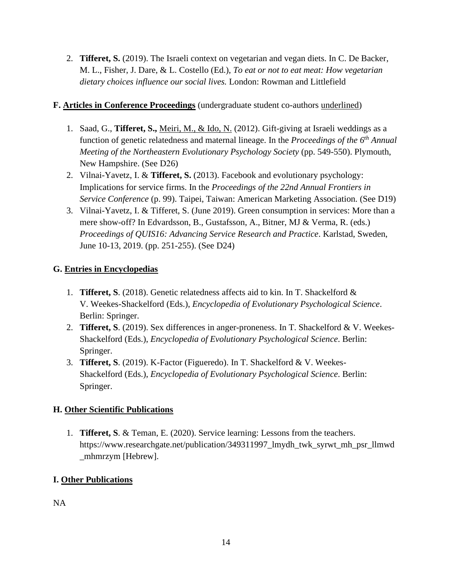2. **Tifferet, S.** (2019). The Israeli context on vegetarian and vegan diets. In C. De Backer, M. L., Fisher, J. Dare, & L. Costello (Ed.), *To eat or not to eat meat: How vegetarian dietary choices influence our social lives.* London: Rowman and Littlefield

#### **F. Articles in Conference Proceedings** (undergraduate student co-authors underlined)

- 1. Saad, G., **Tifferet, S.,** Meiri, M., & Ido, N. (2012). Gift-giving at Israeli weddings as a function of genetic relatedness and maternal lineage. In the *Proceedings of the 6th Annual Meeting of the Northeastern Evolutionary Psychology Society* (pp. 549-550). Plymouth, New Hampshire. (See D26)
- 2. Vilnai-Yavetz, I. & **Tifferet, S.** (2013). Facebook and evolutionary psychology: Implications for service firms. In the *Proceedings of the 22nd Annual Frontiers in Service Conference* (p. 99). Taipei, Taiwan: American Marketing Association. (See D19)
- 3. Vilnai-Yavetz, I. & Tifferet, S. (June 2019). Green consumption in services: More than a mere show-off? In Edvardsson, B., Gustafsson, A., Bitner, MJ & Verma, R. (eds.) *Proceedings of QUIS16: Advancing Service Research and Practice*. Karlstad, Sweden, June 10-13, 2019. (pp. 251-255). (See D24)

## **G. Entries in Encyclopedias**

- 1. **Tifferet, S**. (2018). Genetic relatedness affects aid to kin. In T. Shackelford & V. Weekes-Shackelford (Eds.), *Encyclopedia of Evolutionary Psychological Science*. Berlin: Springer.
- 2. **Tifferet, S**. (2019). Sex differences in anger-proneness. In T. Shackelford & V. Weekes-Shackelford (Eds.), *Encyclopedia of Evolutionary Psychological Science*. Berlin: Springer.
- 3. **Tifferet, S**. (2019). K-Factor (Figueredo). In T. Shackelford & V. Weekes-Shackelford (Eds.), *Encyclopedia of Evolutionary Psychological Science*. Berlin: Springer.

## **H. Other Scientific Publications**

1. **Tifferet, S**. & Teman, E. (2020). Service learning: Lessons from the teachers. https://www.researchgate.net/publication/349311997\_lmydh\_twk\_syrwt\_mh\_psr\_llmwd \_mhmrzym [Hebrew].

## **I. Other Publications**

NA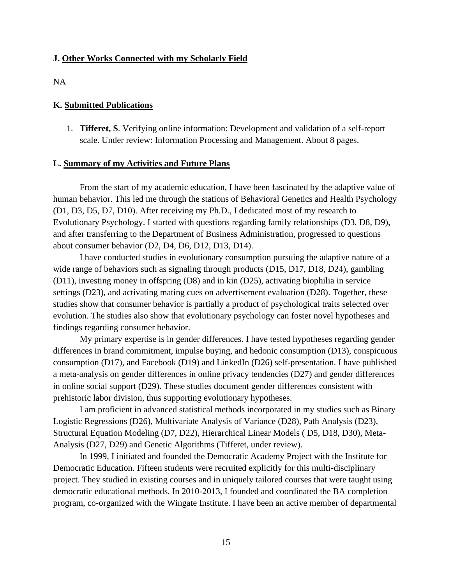#### **J. Other Works Connected with my Scholarly Field**

NA

#### **K. Submitted Publications**

1. **Tifferet, S**. Verifying online information: Development and validation of a self-report scale. Under review: Information Processing and Management. About 8 pages.

#### **L. Summary of my Activities and Future Plans**

From the start of my academic education, I have been fascinated by the adaptive value of human behavior. This led me through the stations of Behavioral Genetics and Health Psychology (D1, D3, D5, D7, D10). After receiving my Ph.D., I dedicated most of my research to Evolutionary Psychology. I started with questions regarding family relationships (D3, D8, D9), and after transferring to the Department of Business Administration, progressed to questions about consumer behavior (D2, D4, D6, D12, D13, D14).

I have conducted studies in evolutionary consumption pursuing the adaptive nature of a wide range of behaviors such as signaling through products (D15, D17, D18, D24), gambling (D11), investing money in offspring (D8) and in kin (D25), activating biophilia in service settings (D23), and activating mating cues on advertisement evaluation (D28). Together, these studies show that consumer behavior is partially a product of psychological traits selected over evolution. The studies also show that evolutionary psychology can foster novel hypotheses and findings regarding consumer behavior.

My primary expertise is in gender differences. I have tested hypotheses regarding gender differences in brand commitment, impulse buying, and hedonic consumption (D13), conspicuous consumption (D17), and Facebook (D19) and LinkedIn (D26) self-presentation. I have published a meta-analysis on gender differences in online privacy tendencies (D27) and gender differences in online social support (D29). These studies document gender differences consistent with prehistoric labor division, thus supporting evolutionary hypotheses.

I am proficient in advanced statistical methods incorporated in my studies such as Binary Logistic Regressions (D26), Multivariate Analysis of Variance (D28), Path Analysis (D23), Structural Equation Modeling (D7, D22), Hierarchical Linear Models ( D5, D18, D30), Meta-Analysis (D27, D29) and Genetic Algorithms (Tifferet, under review).

In 1999, I initiated and founded the Democratic Academy Project with the Institute for Democratic Education. Fifteen students were recruited explicitly for this multi-disciplinary project. They studied in existing courses and in uniquely tailored courses that were taught using democratic educational methods. In 2010-2013, I founded and coordinated the BA completion program, co-organized with the Wingate Institute. I have been an active member of departmental